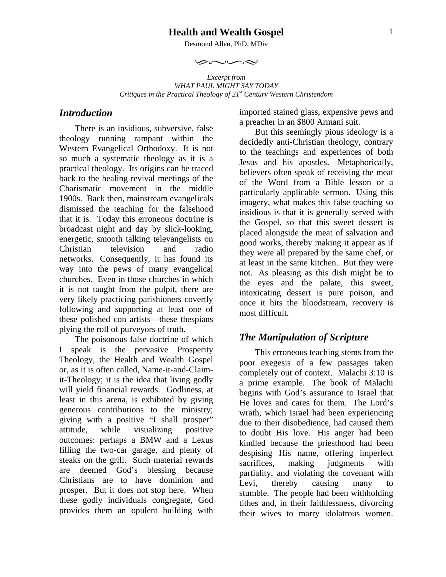### **Health and Wealth Gospel**

Desmond Allen, PhD, MDiv

 $\sim$ 

*Excerpt from WHAT PAUL MIGHT SAY TODAY Critiques in the Practical Theology of 21st Century Western Christendom* 

## *Introduction*

There is an insidious, subversive, false theology running rampant within the Western Evangelical Orthodoxy. It is not so much a systematic theology as it is a practical theology. Its origins can be traced back to the healing revival meetings of the Charismatic movement in the middle 1900s. Back then, mainstream evangelicals dismissed the teaching for the falsehood that it is. Today this erroneous doctrine is broadcast night and day by slick-looking, energetic, smooth talking televangelists on Christian television and radio networks. Consequently, it has found its way into the pews of many evangelical churches. Even in those churches in which it is not taught from the pulpit, there are very likely practicing parishioners covertly following and supporting at least one of these polished con artists—these thespians plying the roll of purveyors of truth.

The poisonous false doctrine of which I speak is the pervasive Prosperity Theology, the Health and Wealth Gospel or, as it is often called, Name-it-and-Claimit-Theology; it is the idea that living godly will yield financial rewards. Godliness, at least in this arena, is exhibited by giving generous contributions to the ministry; giving with a positive "I shall prosper" attitude, while visualizing positive outcomes: perhaps a BMW and a Lexus filling the two-car garage, and plenty of steaks on the grill. Such material rewards are deemed God's blessing because Christians are to have dominion and prosper. But it does not stop here. When these godly individuals congregate, God provides them an opulent building with

imported stained glass, expensive pews and a preacher in an \$800 Armani suit.

But this seemingly pious ideology is a decidedly anti-Christian theology, contrary to the teachings and experiences of both Jesus and his apostles. Metaphorically, believers often speak of receiving the meat of the Word from a Bible lesson or a particularly applicable sermon. Using this imagery, what makes this false teaching so insidious is that it is generally served with the Gospel, so that this sweet dessert is placed alongside the meat of salvation and good works, thereby making it appear as if they were all prepared by the same chef, or at least in the same kitchen. But they were not. As pleasing as this dish might be to the eyes and the palate, this sweet, intoxicating dessert is pure poison, and once it hits the bloodstream, recovery is most difficult.

# *The Manipulation of Scripture*

This erroneous teaching stems from the poor exegesis of a few passages taken completely out of context. Malachi 3:10 is a prime example. The book of Malachi begins with God's assurance to Israel that He loves and cares for them. The Lord's wrath, which Israel had been experiencing due to their disobedience, had caused them to doubt His love. His anger had been kindled because the priesthood had been despising His name, offering imperfect sacrifices, making judgments with partiality, and violating the covenant with Levi, thereby causing many to stumble. The people had been withholding tithes and, in their faithlessness, divorcing their wives to marry idolatrous women.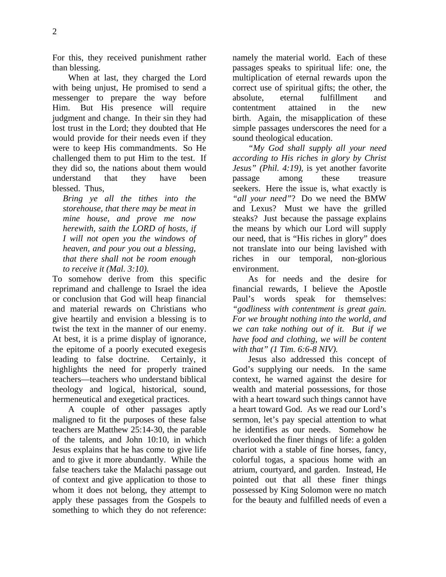When at last, they charged the Lord with being unjust, He promised to send a messenger to prepare the way before Him. But His presence will require judgment and change. In their sin they had lost trust in the Lord; they doubted that He would provide for their needs even if they were to keep His commandments. So He challenged them to put Him to the test. If they did so, the nations about them would understand that they have been blessed. Thus,

*Bring ye all the tithes into the storehouse, that there may be meat in mine house, and prove me now herewith, saith the LORD of hosts, if I will not open you the windows of heaven, and pour you out a blessing, that there shall not be room enough to receive it (Mal. 3:10).* 

To somehow derive from this specific reprimand and challenge to Israel the idea or conclusion that God will heap financial and material rewards on Christians who give heartily and envision a blessing is to twist the text in the manner of our enemy. At best, it is a prime display of ignorance, the epitome of a poorly executed exegesis leading to false doctrine. Certainly, it highlights the need for properly trained teachers—teachers who understand biblical theology and logical, historical, sound, hermeneutical and exegetical practices.

A couple of other passages aptly maligned to fit the purposes of these false teachers are Matthew 25:14-30, the parable of the talents, and John 10:10, in which Jesus explains that he has come to give life and to give it more abundantly. While the false teachers take the Malachi passage out of context and give application to those to whom it does not belong, they attempt to apply these passages from the Gospels to something to which they do not reference: namely the material world. Each of these passages speaks to spiritual life: one, the multiplication of eternal rewards upon the correct use of spiritual gifts; the other, the absolute, eternal fulfillment and contentment attained in the new birth. Again, the misapplication of these simple passages underscores the need for a sound theological education.

*"My God shall supply all your need according to His riches in glory by Christ Jesus" (Phil. 4:19),* is yet another favorite passage among these treasure seekers. Here the issue is, what exactly is *"all your need"*? Do we need the BMW and Lexus? Must we have the grilled steaks? Just because the passage explains the means by which our Lord will supply our need, that is "His riches in glory" does not translate into our being lavished with riches in our temporal, non-glorious environment.

As for needs and the desire for financial rewards, I believe the Apostle Paul's words speak for themselves: *"godliness with contentment is great gain. For we brought nothing into the world, and we can take nothing out of it. But if we have food and clothing, we will be content with that" (1 Tim. 6:6-8 NIV).*

Jesus also addressed this concept of God's supplying our needs. In the same context, he warned against the desire for wealth and material possessions, for those with a heart toward such things cannot have a heart toward God. As we read our Lord's sermon, let's pay special attention to what he identifies as our needs. Somehow he overlooked the finer things of life: a golden chariot with a stable of fine horses, fancy, colorful togas, a spacious home with an atrium, courtyard, and garden. Instead, He pointed out that all these finer things possessed by King Solomon were no match for the beauty and fulfilled needs of even a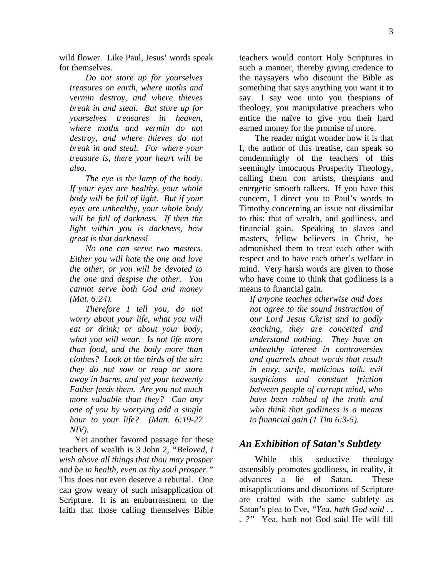wild flower. Like Paul, Jesus' words speak for themselves.

*Do not store up for yourselves treasures on earth, where moths and vermin destroy, and where thieves break in and steal. But store up for yourselves treasures in heaven, where moths and vermin do not destroy, and where thieves do not break in and steal. For where your treasure is, there your heart will be also.* 

*The eye is the lamp of the body. If your eyes are healthy, your whole body will be full of light. But if your eyes are unhealthy, your whole body will be full of darkness. If then the light within you is darkness, how great is that darkness!* 

*No one can serve two masters. Either you will hate the one and love the other, or you will be devoted to the one and despise the other. You cannot serve both God and money (Mat. 6:24).* 

*Therefore I tell you, do not worry about your life, what you will eat or drink; or about your body, what you will wear. Is not life more than food, and the body more than clothes? Look at the birds of the air; they do not sow or reap or store away in barns, and yet your heavenly Father feeds them. Are you not much more valuable than they? Can any one of you by worrying add a single hour to your life? (Matt. 6:19-27 NIV).* 

Yet another favored passage for these teachers of wealth is 3 John 2, *"Beloved, I wish above all things that thou may prosper and be in health, even as thy soul prosper."* This does not even deserve a rebuttal. One can grow weary of such misapplication of Scripture. It is an embarrassment to the faith that those calling themselves Bible teachers would contort Holy Scriptures in such a manner, thereby giving credence to the naysayers who discount the Bible as something that says anything you want it to say. I say woe unto you thespians of theology, you manipulative preachers who entice the naïve to give you their hard earned money for the promise of more.

The reader might wonder how it is that I, the author of this treatise, can speak so condemningly of the teachers of this seemingly innocuous Prosperity Theology, calling them con artists, thespians and energetic smooth talkers. If you have this concern, I direct you to Paul's words to Timothy concerning an issue not dissimilar to this: that of wealth, and godliness, and financial gain. Speaking to slaves and masters, fellow believers in Christ, he admonished them to treat each other with respect and to have each other's welfare in mind. Very harsh words are given to those who have come to think that godliness is a means to financial gain.

*If anyone teaches otherwise and does not agree to the sound instruction of our Lord Jesus Christ and to godly teaching, they are conceited and understand nothing. They have an unhealthy interest in controversies and quarrels about words that result in envy, strife, malicious talk, evil suspicions and constant friction between people of corrupt mind, who have been robbed of the truth and who think that godliness is a means to financial gain (1 Tim 6:3-5).* 

### *An Exhibition of Satan's Subtlety*

While this seductive theology ostensibly promotes godliness, in reality, it advances a lie of Satan. These misapplications and distortions of Scripture are crafted with the same subtlety as Satan's plea to Eve, *"Yea, hath God said . . . ?"* Yea, hath not God said He will fill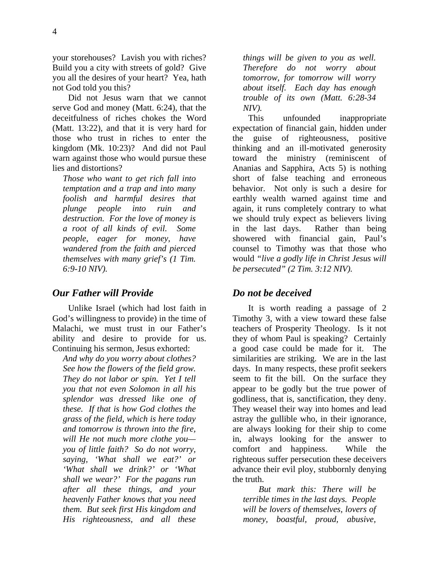your storehouses? Lavish you with riches? Build you a city with streets of gold? Give

you all the desires of your heart? Yea, hath not God told you this?

Did not Jesus warn that we cannot serve God and money (Matt. 6:24), that the deceitfulness of riches chokes the Word (Matt. 13:22), and that it is very hard for those who trust in riches to enter the kingdom (Mk. 10:23)? And did not Paul warn against those who would pursue these lies and distortions?

*Those who want to get rich fall into temptation and a trap and into many foolish and harmful desires that plunge people into ruin and destruction. For the love of money is a root of all kinds of evil. Some people, eager for money, have wandered from the faith and pierced themselves with many grief's (1 Tim. 6:9-10 NIV).* 

### *Our Father will Provide*

Unlike Israel (which had lost faith in God's willingness to provide) in the time of Malachi, we must trust in our Father's ability and desire to provide for us. Continuing his sermon, Jesus exhorted:

*And why do you worry about clothes? See how the flowers of the field grow. They do not labor or spin. Yet I tell you that not even Solomon in all his splendor was dressed like one of these. If that is how God clothes the grass of the field, which is here today and tomorrow is thrown into the fire, will He not much more clothe you you of little faith? So do not worry, saying, 'What shall we eat?' or 'What shall we drink?' or 'What shall we wear?' For the pagans run after all these things, and your heavenly Father knows that you need them. But seek first His kingdom and His righteousness, and all these* 

*things will be given to you as well. Therefore do not worry about tomorrow, for tomorrow will worry about itself. Each day has enough trouble of its own (Matt. 6:28-34 NIV).* 

This unfounded inappropriate expectation of financial gain, hidden under the guise of righteousness, positive thinking and an ill-motivated generosity toward the ministry (reminiscent of Ananias and Sapphira, Acts 5) is nothing short of false teaching and erroneous behavior. Not only is such a desire for earthly wealth warned against time and again, it runs completely contrary to what we should truly expect as believers living in the last days. Rather than being showered with financial gain, Paul's counsel to Timothy was that those who would *"live a godly life in Christ Jesus will be persecuted" (2 Tim. 3:12 NIV).*

# *Do not be deceived*

It is worth reading a passage of 2 Timothy 3, with a view toward these false teachers of Prosperity Theology. Is it not they of whom Paul is speaking? Certainly a good case could be made for it. The similarities are striking. We are in the last days. In many respects, these profit seekers seem to fit the bill. On the surface they appear to be godly but the true power of godliness, that is, sanctification, they deny. They weasel their way into homes and lead astray the gullible who, in their ignorance, are always looking for their ship to come in, always looking for the answer to comfort and happiness. While the righteous suffer persecution these deceivers advance their evil ploy, stubbornly denying the truth.

*But mark this: There will be terrible times in the last days. People will be lovers of themselves, lovers of money, boastful, proud, abusive,*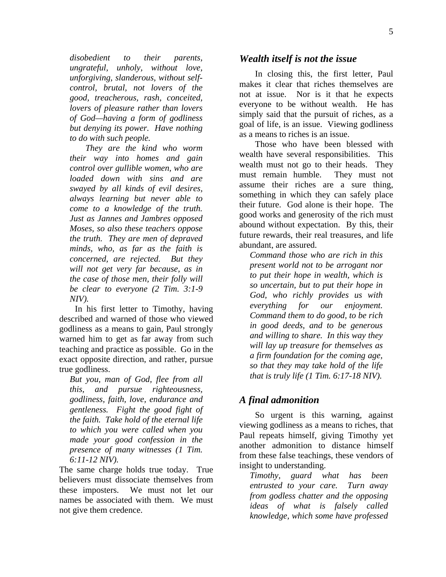*disobedient to their parents, ungrateful, unholy, without love, unforgiving, slanderous, without selfcontrol, brutal, not lovers of the good, treacherous, rash, conceited, lovers of pleasure rather than lovers of God—having a form of godliness but denying its power. Have nothing to do with such people.* 

*They are the kind who worm their way into homes and gain control over gullible women, who are loaded down with sins and are swayed by all kinds of evil desires, always learning but never able to come to a knowledge of the truth. Just as Jannes and Jambres opposed Moses, so also these teachers oppose the truth. They are men of depraved minds, who, as far as the faith is concerned, are rejected. But they will not get very far because, as in the case of those men, their folly will be clear to everyone (2 Tim. 3:1-9 NIV).* 

In his first letter to Timothy, having described and warned of those who viewed godliness as a means to gain, Paul strongly warned him to get as far away from such teaching and practice as possible. Go in the exact opposite direction, and rather, pursue true godliness.

*But you, man of God, flee from all this, and pursue righteousness, godliness, faith, love, endurance and gentleness. Fight the good fight of the faith. Take hold of the eternal life to which you were called when you made your good confession in the presence of many witnesses (1 Tim. 6:11-12 NIV).*

The same charge holds true today. True believers must dissociate themselves from these imposters. We must not let our names be associated with them. We must not give them credence.

#### *Wealth itself is not the issue*

In closing this, the first letter, Paul makes it clear that riches themselves are not at issue. Nor is it that he expects everyone to be without wealth. He has simply said that the pursuit of riches, as a goal of life, is an issue. Viewing godliness as a means to riches is an issue.

Those who have been blessed with wealth have several responsibilities. This wealth must not go to their heads. They must remain humble. They must not assume their riches are a sure thing, something in which they can safely place their future. God alone is their hope. The good works and generosity of the rich must abound without expectation. By this, their future rewards, their real treasures, and life abundant, are assured.

*Command those who are rich in this present world not to be arrogant nor to put their hope in wealth, which is so uncertain, but to put their hope in God, who richly provides us with everything for our enjoyment. Command them to do good, to be rich in good deeds, and to be generous and willing to share. In this way they will lay up treasure for themselves as a firm foundation for the coming age, so that they may take hold of the life that is truly life (1 Tim. 6:17-18 NIV).* 

### *A final admonition*

So urgent is this warning, against viewing godliness as a means to riches, that Paul repeats himself, giving Timothy yet another admonition to distance himself from these false teachings, these vendors of insight to understanding.

*Timothy, guard what has been entrusted to your care. Turn away from godless chatter and the opposing ideas of what is falsely called knowledge, which some have professed*